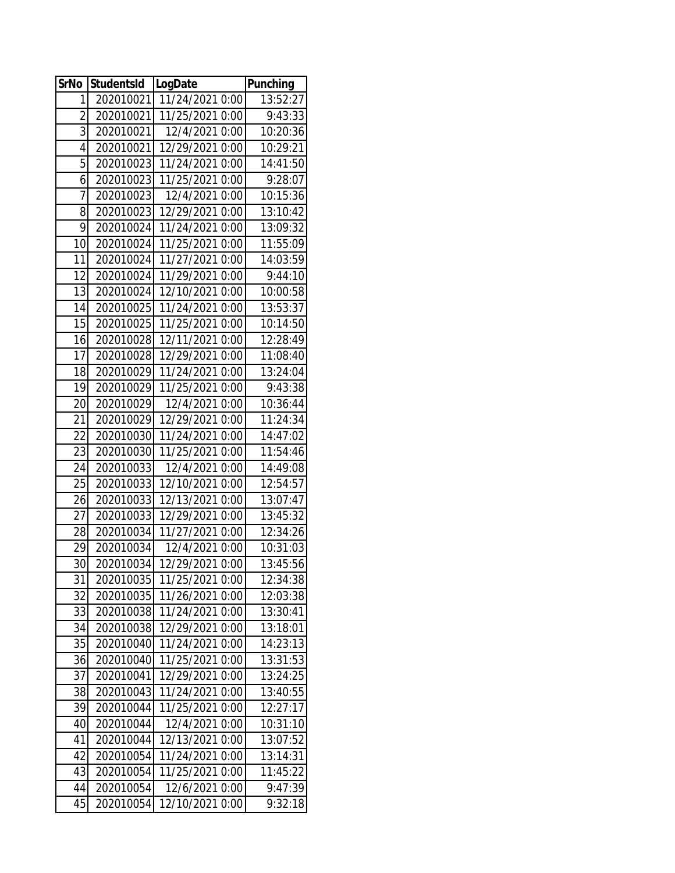| <b>SrNo</b>     | <b>StudentsId</b> | LogDate         | <b>Punching</b> |
|-----------------|-------------------|-----------------|-----------------|
| 1               | 202010021         | 11/24/2021 0:00 | 13:52:27        |
| $\overline{2}$  | 202010021         | 11/25/2021 0:00 | 9:43:33         |
| 3               | 202010021         | 12/4/2021 0:00  | 10:20:36        |
| 4               | 202010021         | 12/29/2021 0:00 | 10:29:21        |
| 5               | 202010023         | 11/24/2021 0:00 | 14:41:50        |
| 6               | 202010023         | 11/25/2021 0:00 | 9:28:07         |
| 7               | 202010023         | 12/4/2021 0:00  | 10:15:36        |
| 8               | 202010023         | 12/29/2021 0:00 | 13:10:42        |
| 9               | 202010024         | 11/24/2021 0:00 | 13:09:32        |
| $\overline{10}$ | 202010024         | 11/25/2021 0:00 | 11:55:09        |
| 11              | 202010024         | 11/27/2021 0:00 | 14:03:59        |
| 12              | 202010024         | 11/29/2021 0:00 | 9:44:10         |
| 13              | 202010024         | 12/10/2021 0:00 | 10:00:58        |
| 14              | 202010025         | 11/24/2021 0:00 | 13:53:37        |
| 15              | 202010025         | 11/25/2021 0:00 | 10:14:50        |
| 16              | 202010028         | 12/11/2021 0:00 | 12:28:49        |
| 17              | 202010028         | 12/29/2021 0:00 | 11:08:40        |
| 18              | 202010029         | 11/24/2021 0:00 | 13:24:04        |
| 19              | 202010029         | 11/25/2021 0:00 | 9:43:38         |
| $\overline{20}$ | 202010029         | 12/4/2021 0:00  | 10:36:44        |
| 21              | 202010029         | 12/29/2021 0:00 | 11:24:34        |
| 22              | 202010030         | 11/24/2021 0:00 | 14:47:02        |
| 23              | 202010030         | 11/25/2021 0:00 | 11:54:46        |
| 24              | 202010033         | 12/4/2021 0:00  | 14:49:08        |
| 25              | 202010033         | 12/10/2021 0:00 | 12:54:57        |
| 26              | 202010033         | 12/13/2021 0:00 | 13:07:47        |
| 27              | 202010033         | 12/29/2021 0:00 | 13:45:32        |
| 28              | 202010034         | 11/27/2021 0:00 | 12:34:26        |
| 29              | 202010034         | 12/4/2021 0:00  | 10:31:03        |
| 30 <sup>°</sup> | 202010034         | 12/29/2021 0:00 | 13:45:56        |
| 31              | 202010035         | 11/25/2021 0:00 | 12:34:38        |
| 32              | 202010035         | 11/26/2021 0:00 | 12:03:38        |
| 33              | 202010038         | 11/24/2021 0:00 | 13:30:41        |
| 34              | 202010038         | 12/29/2021 0:00 | 13:18:01        |
| 35              | 202010040         | 11/24/2021 0:00 | 14:23:13        |
| 36              | 202010040         | 11/25/2021 0:00 | 13:31:53        |
| 37              | 202010041         | 12/29/2021 0:00 | 13:24:25        |
| 38              | 202010043         | 11/24/2021 0:00 | 13:40:55        |
| 39              | 202010044         | 11/25/2021 0:00 | 12:27:17        |
| 40              | 202010044         | 12/4/2021 0:00  | 10:31:10        |
| 41              | 202010044         | 12/13/2021 0:00 | 13:07:52        |
| 42              | 202010054         | 11/24/2021 0:00 | 13:14:31        |
| 43              | 202010054         | 11/25/2021 0:00 | 11:45:22        |
| 44              | 202010054         | 12/6/2021 0:00  | 9:47:39         |
| 45              | 202010054         | 12/10/2021 0:00 | 9:32:18         |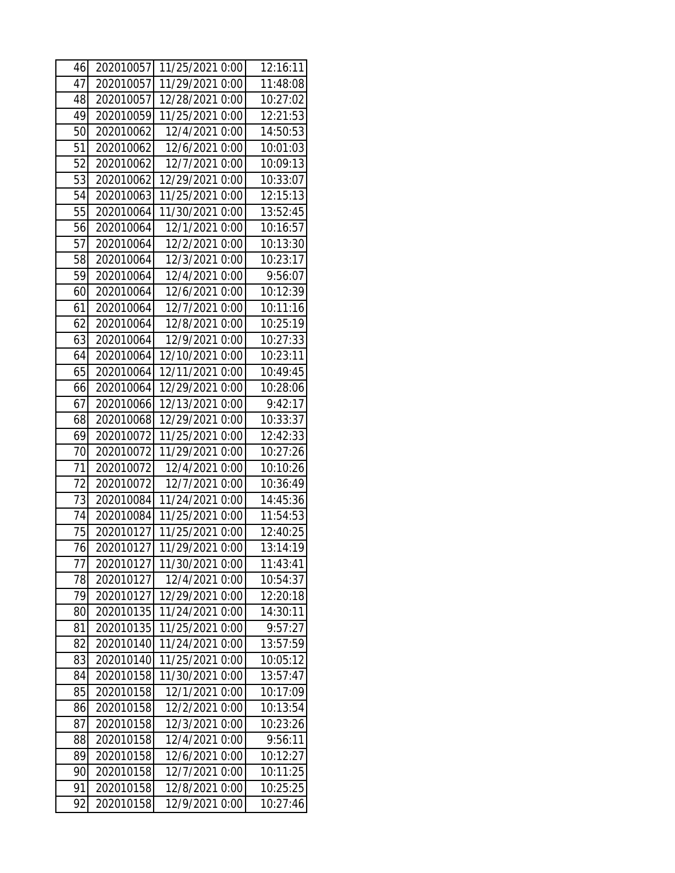| 46 | 202010057 | 11/25/2021 0:00 | 12:16:11 |
|----|-----------|-----------------|----------|
| 47 | 202010057 | 11/29/2021 0:00 | 11:48:08 |
| 48 | 202010057 | 12/28/2021 0:00 | 10:27:02 |
| 49 | 202010059 | 11/25/2021 0:00 | 12:21:53 |
| 50 | 202010062 | 12/4/2021 0:00  | 14:50:53 |
| 51 | 202010062 | 12/6/2021 0:00  | 10:01:03 |
| 52 | 202010062 | 12/7/2021 0:00  | 10:09:13 |
| 53 | 202010062 | 12/29/2021 0:00 | 10:33:07 |
| 54 | 202010063 | 11/25/2021 0:00 | 12:15:13 |
| 55 | 202010064 | 11/30/2021 0:00 | 13:52:45 |
| 56 | 202010064 | 12/1/2021 0:00  | 10:16:57 |
| 57 | 202010064 | 12/2/2021 0:00  | 10:13:30 |
| 58 | 202010064 | 12/3/2021 0:00  | 10:23:17 |
| 59 | 202010064 | 12/4/2021 0:00  | 9:56:07  |
| 60 | 202010064 | 12/6/2021 0:00  | 10:12:39 |
| 61 | 202010064 | 12/7/2021 0:00  | 10:11:16 |
| 62 | 202010064 | 12/8/2021 0:00  | 10:25:19 |
| 63 | 202010064 | 12/9/2021 0:00  | 10:27:33 |
| 64 | 202010064 | 12/10/2021 0:00 | 10:23:11 |
| 65 | 202010064 | 12/11/2021 0:00 | 10:49:45 |
| 66 | 202010064 | 12/29/2021 0:00 | 10:28:06 |
| 67 | 202010066 | 12/13/2021 0:00 | 9:42:17  |
| 68 | 202010068 | 12/29/2021 0:00 | 10:33:37 |
| 69 | 202010072 | 11/25/2021 0:00 | 12:42:33 |
| 70 | 202010072 | 11/29/2021 0:00 | 10:27:26 |
| 71 | 202010072 | 12/4/2021 0:00  | 10:10:26 |
| 72 | 202010072 | 12/7/2021 0:00  | 10:36:49 |
| 73 | 202010084 | 11/24/2021 0:00 | 14:45:36 |
| 74 | 202010084 | 11/25/2021 0:00 | 11:54:53 |
| 75 | 202010127 | 11/25/2021 0:00 | 12:40:25 |
| 76 | 202010127 | 11/29/2021 0:00 | 13:14:19 |
| 77 | 202010127 | 11/30/2021 0:00 | 11:43:41 |
| 78 | 202010127 | 12/4/2021 0:00  | 10:54:37 |
| 79 | 202010127 | 12/29/2021 0:00 | 12:20:18 |
| 80 | 202010135 | 11/24/2021 0:00 | 14:30:11 |
| 81 | 202010135 | 11/25/2021 0:00 | 9:57:27  |
| 82 | 202010140 | 11/24/2021 0:00 | 13:57:59 |
| 83 | 202010140 | 11/25/2021 0:00 | 10:05:12 |
| 84 | 202010158 | 11/30/2021 0:00 | 13:57:47 |
| 85 | 202010158 | 12/1/2021 0:00  | 10:17:09 |
| 86 | 202010158 | 12/2/2021 0:00  | 10:13:54 |
| 87 | 202010158 | 12/3/2021 0:00  | 10:23:26 |
| 88 | 202010158 | 12/4/2021 0:00  | 9:56:11  |
| 89 | 202010158 | 12/6/2021 0:00  | 10:12:27 |
| 90 | 202010158 | 12/7/2021 0:00  | 10:11:25 |
| 91 | 202010158 | 12/8/2021 0:00  | 10:25:25 |
| 92 | 202010158 | 12/9/2021 0:00  | 10:27:46 |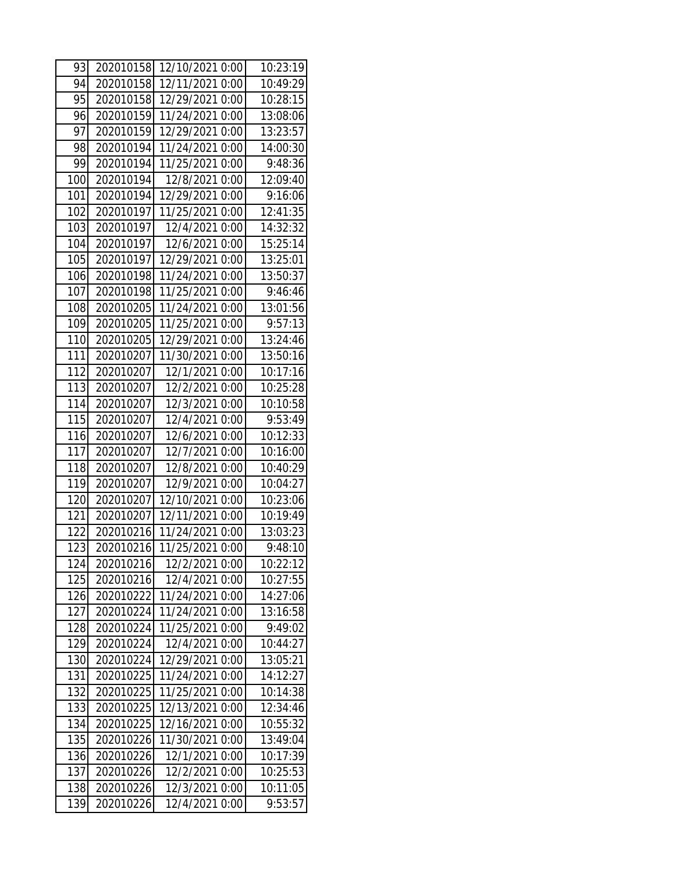| 93  | 202010158 | 12/10/2021 0:00 | 10:23:19 |
|-----|-----------|-----------------|----------|
| 94  | 202010158 | 12/11/2021 0:00 | 10:49:29 |
| 95  | 202010158 | 12/29/2021 0:00 | 10:28:15 |
| 96  | 202010159 | 11/24/2021 0:00 | 13:08:06 |
| 97  | 202010159 | 12/29/2021 0:00 | 13:23:57 |
| 98  | 202010194 | 11/24/2021 0:00 | 14:00:30 |
| 99  | 202010194 | 11/25/2021 0:00 | 9:48:36  |
| 100 | 202010194 | 12/8/2021 0:00  | 12:09:40 |
| 101 | 202010194 | 12/29/2021 0:00 | 9:16:06  |
| 102 | 202010197 | 11/25/2021 0:00 | 12:41:35 |
| 103 | 202010197 | 12/4/2021 0:00  | 14:32:32 |
| 104 | 202010197 | 12/6/2021 0:00  | 15:25:14 |
| 105 | 202010197 | 12/29/2021 0:00 | 13:25:01 |
| 106 | 202010198 | 11/24/2021 0:00 | 13:50:37 |
| 107 | 202010198 | 11/25/2021 0:00 | 9:46:46  |
| 108 | 202010205 | 11/24/2021 0:00 | 13:01:56 |
| 109 | 202010205 | 11/25/2021 0:00 | 9:57:13  |
| 110 | 202010205 | 12/29/2021 0:00 | 13:24:46 |
| 111 | 202010207 | 11/30/2021 0:00 | 13:50:16 |
| 112 | 202010207 | 12/1/2021 0:00  | 10:17:16 |
| 113 | 202010207 | 12/2/2021 0:00  | 10:25:28 |
| 114 | 202010207 | 12/3/2021 0:00  | 10:10:58 |
| 115 | 202010207 | 12/4/2021 0:00  | 9:53:49  |
| 116 | 202010207 | 12/6/2021 0:00  | 10:12:33 |
| 117 | 202010207 | 12/7/2021 0:00  | 10:16:00 |
| 118 | 202010207 | 12/8/2021 0:00  | 10:40:29 |
| 119 | 202010207 | 12/9/2021 0:00  | 10:04:27 |
| 120 | 202010207 | 12/10/2021 0:00 | 10:23:06 |
| 121 | 202010207 | 12/11/2021 0:00 | 10:19:49 |
| 122 | 202010216 | 11/24/2021 0:00 | 13:03:23 |
| 123 | 202010216 | 11/25/2021 0:00 | 9:48:10  |
| 124 | 202010216 | 12/2/2021 0:00  | 10:22:12 |
| 125 | 202010216 | 12/4/2021 0:00  | 10:27:55 |
| 126 | 202010222 | 11/24/2021 0:00 | 14:27:06 |
| 127 | 202010224 | 11/24/2021 0:00 | 13:16:58 |
| 128 | 202010224 | 11/25/2021 0:00 | 9:49:02  |
| 129 | 202010224 | 12/4/2021 0:00  | 10:44:27 |
| 130 | 202010224 | 12/29/2021 0:00 | 13:05:21 |
| 131 | 202010225 | 11/24/2021 0:00 | 14:12:27 |
| 132 | 202010225 | 11/25/2021 0:00 | 10:14:38 |
| 133 | 202010225 | 12/13/2021 0:00 | 12:34:46 |
| 134 | 202010225 | 12/16/2021 0:00 | 10:55:32 |
| 135 | 202010226 | 11/30/2021 0:00 | 13:49:04 |
| 136 | 202010226 | 12/1/2021 0:00  | 10:17:39 |
| 137 | 202010226 | 12/2/2021 0:00  | 10:25:53 |
| 138 | 202010226 | 12/3/2021 0:00  | 10:11:05 |
| 139 | 202010226 | 12/4/2021 0:00  | 9:53:57  |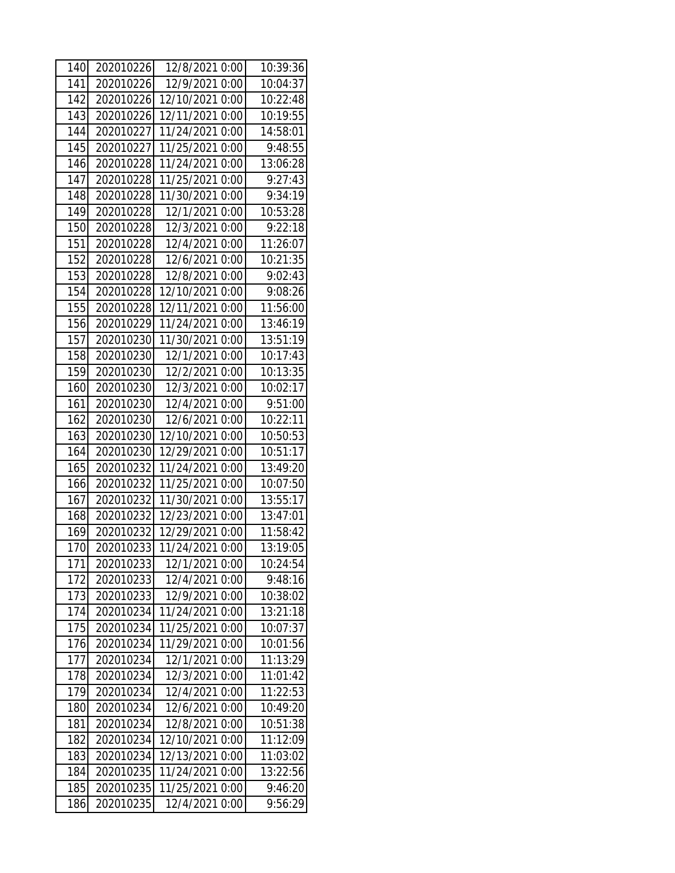| 140 | 202010226 | 12/8/2021 0:00  | 10:39:36 |
|-----|-----------|-----------------|----------|
| 141 | 202010226 | 12/9/2021 0:00  | 10:04:37 |
| 142 | 202010226 | 12/10/2021 0:00 | 10:22:48 |
| 143 | 202010226 | 12/11/2021 0:00 | 10:19:55 |
| 144 | 202010227 | 11/24/2021 0:00 | 14:58:01 |
| 145 | 202010227 | 11/25/2021 0:00 | 9:48:55  |
| 146 | 202010228 | 11/24/2021 0:00 | 13:06:28 |
| 147 | 202010228 | 11/25/2021 0:00 | 9:27:43  |
| 148 | 202010228 | 11/30/2021 0:00 | 9:34:19  |
| 149 | 202010228 | 12/1/2021 0:00  | 10:53:28 |
| 150 | 202010228 | 12/3/2021 0:00  | 9:22:18  |
| 151 | 202010228 | 12/4/2021 0:00  | 11:26:07 |
| 152 | 202010228 | 12/6/2021 0:00  | 10:21:35 |
| 153 | 202010228 | 12/8/2021 0:00  | 9:02:43  |
| 154 | 202010228 | 12/10/2021 0:00 | 9:08:26  |
| 155 | 202010228 | 12/11/2021 0:00 | 11:56:00 |
| 156 | 202010229 | 11/24/2021 0:00 | 13:46:19 |
| 157 | 202010230 | 11/30/2021 0:00 | 13:51:19 |
| 158 | 202010230 | 12/1/2021 0:00  | 10:17:43 |
| 159 | 202010230 | 12/2/2021 0:00  | 10:13:35 |
| 160 | 202010230 | 12/3/2021 0:00  | 10:02:17 |
| 161 | 202010230 | 12/4/2021 0:00  | 9:51:00  |
| 162 | 202010230 | 12/6/2021 0:00  | 10:22:11 |
| 163 | 202010230 | 12/10/2021 0:00 | 10:50:53 |
| 164 | 202010230 | 12/29/2021 0:00 | 10:51:17 |
| 165 | 202010232 | 11/24/2021 0:00 | 13:49:20 |
| 166 | 202010232 | 11/25/2021 0:00 | 10:07:50 |
| 167 | 202010232 | 11/30/2021 0:00 | 13:55:17 |
| 168 | 202010232 | 12/23/2021 0:00 | 13:47:01 |
| 169 | 202010232 | 12/29/2021 0:00 | 11:58:42 |
| 170 | 202010233 | 11/24/2021 0:00 | 13:19:05 |
| 171 | 202010233 | 12/1/2021 0:00  | 10:24:54 |
| 172 | 202010233 | 12/4/2021 0:00  | 9:48:16  |
| 173 | 202010233 | 12/9/2021 0:00  | 10:38:02 |
| 174 | 202010234 | 11/24/2021 0:00 | 13:21:18 |
| 175 | 202010234 | 11/25/2021 0:00 | 10:07:37 |
| 176 | 202010234 | 11/29/2021 0:00 | 10:01:56 |
| 177 | 202010234 | 12/1/2021 0:00  | 11:13:29 |
| 178 | 202010234 | 12/3/2021 0:00  | 11:01:42 |
| 179 | 202010234 | 12/4/2021 0:00  | 11:22:53 |
| 180 | 202010234 | 12/6/2021 0:00  | 10:49:20 |
| 181 | 202010234 | 12/8/2021 0:00  | 10:51:38 |
| 182 | 202010234 | 12/10/2021 0:00 | 11:12:09 |
| 183 | 202010234 | 12/13/2021 0:00 | 11:03:02 |
| 184 | 202010235 | 11/24/2021 0:00 | 13:22:56 |
| 185 | 202010235 | 11/25/2021 0:00 | 9:46:20  |
| 186 | 202010235 | 12/4/2021 0:00  | 9:56:29  |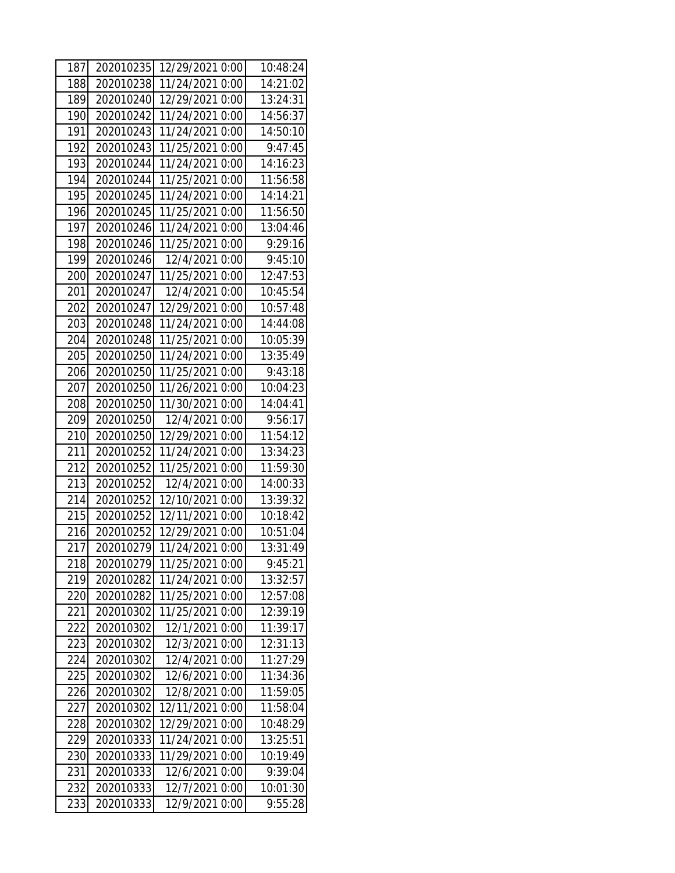| 187 | 202010235 | 12/29/2021 0:00 | 10:48:24 |
|-----|-----------|-----------------|----------|
| 188 | 202010238 | 11/24/2021 0:00 | 14:21:02 |
| 189 | 202010240 | 12/29/2021 0:00 | 13:24:31 |
| 190 | 202010242 | 11/24/2021 0:00 | 14:56:37 |
| 191 | 202010243 | 11/24/2021 0:00 | 14:50:10 |
| 192 | 202010243 | 11/25/2021 0:00 | 9:47:45  |
| 193 | 202010244 | 11/24/2021 0:00 | 14:16:23 |
| 194 | 202010244 | 11/25/2021 0:00 | 11:56:58 |
| 195 | 202010245 | 11/24/2021 0:00 | 14:14:21 |
| 196 | 202010245 | 11/25/2021 0:00 | 11:56:50 |
| 197 | 202010246 | 11/24/2021 0:00 | 13:04:46 |
| 198 | 202010246 | 11/25/2021 0:00 | 9:29:16  |
| 199 | 202010246 | 12/4/2021 0:00  | 9:45:10  |
| 200 | 202010247 | 11/25/2021 0:00 | 12:47:53 |
| 201 | 202010247 | 12/4/2021 0:00  | 10:45:54 |
| 202 | 202010247 | 12/29/2021 0:00 | 10:57:48 |
| 203 | 202010248 | 11/24/2021 0:00 | 14:44:08 |
| 204 | 202010248 | 11/25/2021 0:00 | 10:05:39 |
| 205 | 202010250 | 11/24/2021 0:00 | 13:35:49 |
| 206 | 202010250 | 11/25/2021 0:00 | 9:43:18  |
| 207 | 202010250 | 11/26/2021 0:00 | 10:04:23 |
| 208 | 202010250 | 11/30/2021 0:00 | 14:04:41 |
| 209 | 202010250 | 12/4/2021 0:00  | 9:56:17  |
| 210 | 202010250 | 12/29/2021 0:00 | 11:54:12 |
| 211 | 202010252 | 11/24/2021 0:00 | 13:34:23 |
| 212 | 202010252 | 11/25/2021 0:00 | 11:59:30 |
| 213 | 202010252 | 12/4/2021 0:00  | 14:00:33 |
| 214 | 202010252 | 12/10/2021 0:00 | 13:39:32 |
| 215 | 202010252 | 12/11/2021 0:00 | 10:18:42 |
| 216 | 202010252 | 12/29/2021 0:00 | 10:51:04 |
| 217 | 202010279 | 11/24/2021 0:00 | 13:31:49 |
| 218 | 202010279 | 11/25/2021 0:00 | 9:45:21  |
| 219 | 202010282 | 11/24/2021 0:00 | 13:32:57 |
| 220 | 202010282 | 11/25/2021 0:00 | 12:57:08 |
| 221 | 202010302 | 11/25/2021 0:00 | 12:39:19 |
| 222 | 202010302 | 12/1/2021 0:00  | 11:39:17 |
| 223 | 202010302 | 12/3/2021 0:00  | 12:31:13 |
| 224 | 202010302 | 12/4/2021 0:00  | 11:27:29 |
| 225 | 202010302 | 12/6/2021 0:00  | 11:34:36 |
| 226 | 202010302 | 12/8/2021 0:00  | 11:59:05 |
| 227 | 202010302 | 12/11/2021 0:00 | 11:58:04 |
| 228 | 202010302 | 12/29/2021 0:00 | 10:48:29 |
| 229 | 202010333 | 11/24/2021 0:00 | 13:25:51 |
| 230 | 202010333 | 11/29/2021 0:00 | 10:19:49 |
| 231 | 202010333 | 12/6/2021 0:00  | 9:39:04  |
| 232 | 202010333 | 12/7/2021 0:00  | 10:01:30 |
| 233 | 202010333 | 12/9/2021 0:00  | 9:55:28  |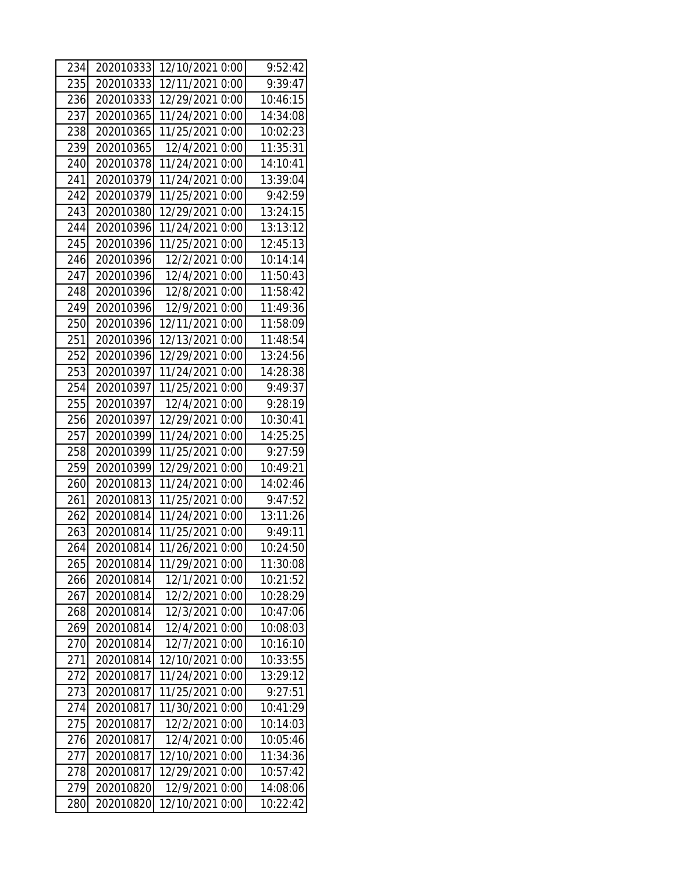| 234 | 202010333 | 12/10/2021 0:00 | 9:52:42  |
|-----|-----------|-----------------|----------|
| 235 | 202010333 | 12/11/2021 0:00 | 9:39:47  |
| 236 | 202010333 | 12/29/2021 0:00 | 10:46:15 |
| 237 | 202010365 | 11/24/2021 0:00 | 14:34:08 |
| 238 | 202010365 | 11/25/2021 0:00 | 10:02:23 |
| 239 | 202010365 | 12/4/2021 0:00  | 11:35:31 |
| 240 | 202010378 | 11/24/2021 0:00 | 14:10:41 |
| 241 | 202010379 | 11/24/2021 0:00 | 13:39:04 |
| 242 | 202010379 | 11/25/2021 0:00 | 9:42:59  |
| 243 | 202010380 | 12/29/2021 0:00 | 13:24:15 |
| 244 | 202010396 | 11/24/2021 0:00 | 13:13:12 |
| 245 | 202010396 | 11/25/2021 0:00 | 12:45:13 |
| 246 | 202010396 | 12/2/2021 0:00  | 10:14:14 |
| 247 | 202010396 | 12/4/2021 0:00  | 11:50:43 |
| 248 | 202010396 | 12/8/2021 0:00  | 11:58:42 |
| 249 | 202010396 | 12/9/2021 0:00  | 11:49:36 |
| 250 | 202010396 | 12/11/2021 0:00 | 11:58:09 |
| 251 | 202010396 | 12/13/2021 0:00 | 11:48:54 |
| 252 | 202010396 | 12/29/2021 0:00 | 13:24:56 |
| 253 | 202010397 | 11/24/2021 0:00 | 14:28:38 |
| 254 | 202010397 | 11/25/2021 0:00 | 9:49:37  |
| 255 | 202010397 | 12/4/2021 0:00  | 9:28:19  |
| 256 | 202010397 | 12/29/2021 0:00 | 10:30:41 |
| 257 | 202010399 | 11/24/2021 0:00 | 14:25:25 |
| 258 | 202010399 | 11/25/2021 0:00 | 9:27:59  |
| 259 | 202010399 | 12/29/2021 0:00 | 10:49:21 |
| 260 | 202010813 | 11/24/2021 0:00 | 14:02:46 |
| 261 | 202010813 | 11/25/2021 0:00 | 9:47:52  |
| 262 | 202010814 | 11/24/2021 0:00 | 13:11:26 |
| 263 | 202010814 | 11/25/2021 0:00 | 9:49:11  |
| 264 | 202010814 | 11/26/2021 0:00 | 10:24:50 |
| 265 | 202010814 | 11/29/2021 0:00 | 11:30:08 |
| 266 | 202010814 | 12/1/2021 0:00  | 10:21:52 |
| 267 | 202010814 | 12/2/2021 0:00  | 10:28:29 |
| 268 | 202010814 | 12/3/2021 0:00  | 10:47:06 |
| 269 | 202010814 | 12/4/2021 0:00  | 10:08:03 |
| 270 | 202010814 | 12/7/2021 0:00  | 10:16:10 |
| 271 | 202010814 | 12/10/2021 0:00 | 10:33:55 |
| 272 | 202010817 | 11/24/2021 0:00 | 13:29:12 |
| 273 | 202010817 | 11/25/2021 0:00 | 9:27:51  |
| 274 | 202010817 | 11/30/2021 0:00 | 10:41:29 |
| 275 | 202010817 | 12/2/2021 0:00  | 10:14:03 |
| 276 | 202010817 | 12/4/2021 0:00  | 10:05:46 |
| 277 | 202010817 | 12/10/2021 0:00 | 11:34:36 |
| 278 | 202010817 | 12/29/2021 0:00 | 10:57:42 |
| 279 | 202010820 | 12/9/2021 0:00  | 14:08:06 |
| 280 | 202010820 | 12/10/2021 0:00 | 10:22:42 |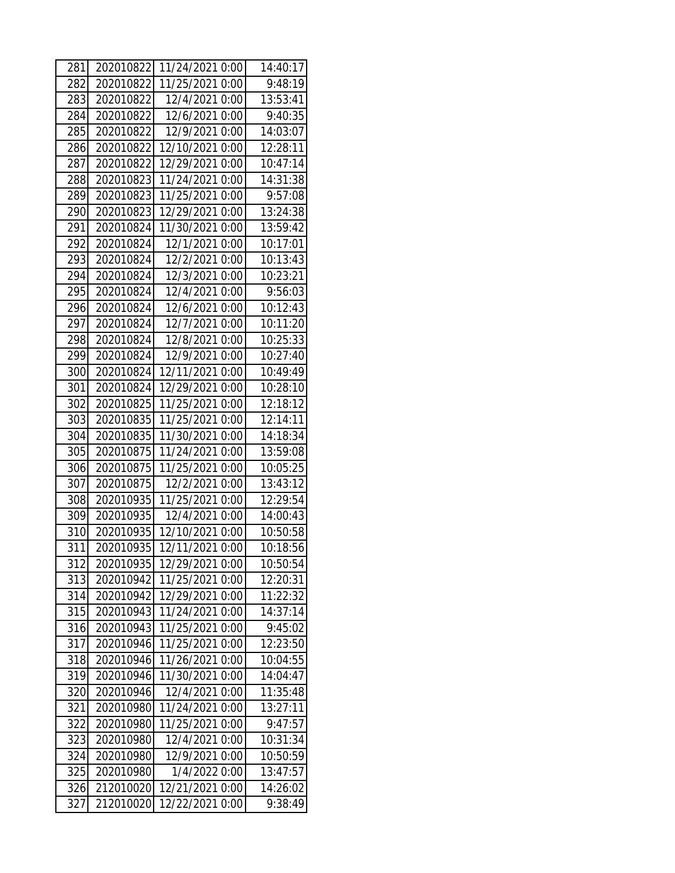| 281 | 202010822              | 11/24/2021 0:00 | 14:40:17 |
|-----|------------------------|-----------------|----------|
| 282 | 202010822              | 11/25/2021 0:00 | 9:48:19  |
| 283 | 202010822              | 12/4/2021 0:00  | 13:53:41 |
| 284 | 202010822              | 12/6/2021 0:00  | 9:40:35  |
| 285 | 202010822              | 12/9/2021 0:00  | 14:03:07 |
| 286 | 202010822              | 12/10/2021 0:00 | 12:28:11 |
| 287 | 202010822              | 12/29/2021 0:00 | 10:47:14 |
| 288 | 202010823              | 11/24/2021 0:00 | 14:31:38 |
| 289 | 202010823              | 11/25/2021 0:00 | 9:57:08  |
| 290 | 202010823              | 12/29/2021 0:00 | 13:24:38 |
| 291 | 202010824              | 11/30/2021 0:00 | 13:59:42 |
| 292 | 202010824              | 12/1/2021 0:00  | 10:17:01 |
| 293 | 202010824              | 12/2/2021 0:00  | 10:13:43 |
| 294 | 202010824              | 12/3/2021 0:00  | 10:23:21 |
| 295 | 202010824              | 12/4/2021 0:00  | 9:56:03  |
| 296 | 202010824              | 12/6/2021 0:00  | 10:12:43 |
| 297 | 202010824              | 12/7/2021 0:00  | 10:11:20 |
| 298 | 202010824              | 12/8/2021 0:00  | 10:25:33 |
| 299 | 202010824              | 12/9/2021 0:00  | 10:27:40 |
| 300 | 202010824              | 12/11/2021 0:00 | 10:49:49 |
| 301 | 202010824              | 12/29/2021 0:00 | 10:28:10 |
| 302 | 202010825              | 11/25/2021 0:00 | 12:18:12 |
| 303 | 202010835              | 11/25/2021 0:00 | 12:14:11 |
| 304 | 202010835              | 11/30/2021 0:00 | 14:18:34 |
| 305 | 202010875              | 11/24/2021 0:00 | 13:59:08 |
| 306 | 202010875              | 11/25/2021 0:00 | 10:05:25 |
| 307 | 202010875              | 12/2/2021 0:00  | 13:43:12 |
| 308 | 202010935              | 11/25/2021 0:00 | 12:29:54 |
| 309 | 202010935              | 12/4/2021 0:00  | 14:00:43 |
| 310 | 202010935              | 12/10/2021 0:00 | 10:50:58 |
| 311 | 202010935              | 12/11/2021 0:00 | 10:18:56 |
| 312 | 202010935              | 12/29/2021 0:00 | 10:50:54 |
| 313 | 202010942              | 11/25/2021 0:00 | 12:20:31 |
| 314 | 202010942              | 12/29/2021 0:00 | 11:22:32 |
| 315 | 202010943              | 11/24/2021 0:00 | 14:37:14 |
| 316 | 202010943              | 11/25/2021 0:00 | 9:45:02  |
| 317 | 202010946              | 11/25/2021 0:00 | 12:23:50 |
| 318 | 202010946              | 11/26/2021 0:00 | 10:04:55 |
| 319 | 202010946              | 11/30/2021 0:00 | 14:04:47 |
| 320 | 202010946              | 12/4/2021 0:00  | 11:35:48 |
| 321 | 202010980              | 11/24/2021 0:00 | 13:27:11 |
| 322 | 202010980              | 11/25/2021 0:00 | 9:47:57  |
| 323 | 202010980              | 12/4/2021 0:00  | 10:31:34 |
| 324 | 202010980<br>202010980 | 12/9/2021 0:00  | 10:50:59 |
| 325 |                        | 1/4/2022 0:00   | 13:47:57 |
| 326 | 212010020              | 12/21/2021 0:00 | 14:26:02 |
| 327 | 212010020              | 12/22/2021 0:00 | 9:38:49  |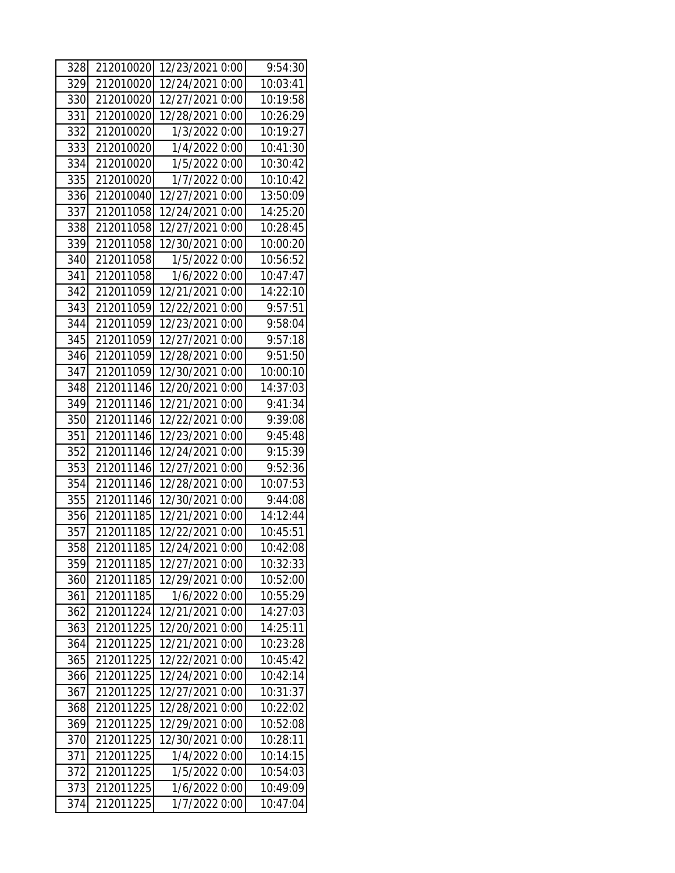| 328 | 212010020 | 12/23/2021 0:00 | 9:54:30  |
|-----|-----------|-----------------|----------|
| 329 | 212010020 | 12/24/2021 0:00 | 10:03:41 |
| 330 | 212010020 | 12/27/2021 0:00 | 10:19:58 |
| 331 | 212010020 | 12/28/2021 0:00 | 10:26:29 |
| 332 | 212010020 | 1/3/2022 0:00   | 10:19:27 |
| 333 | 212010020 | 1/4/2022 0:00   | 10:41:30 |
| 334 | 212010020 | 1/5/2022 0:00   | 10:30:42 |
| 335 | 212010020 | 1/7/2022 0:00   | 10:10:42 |
| 336 | 212010040 | 12/27/2021 0:00 | 13:50:09 |
| 337 | 212011058 | 12/24/2021 0:00 | 14:25:20 |
| 338 | 212011058 | 12/27/2021 0:00 | 10:28:45 |
| 339 | 212011058 | 12/30/2021 0:00 | 10:00:20 |
| 340 | 212011058 | 1/5/2022 0:00   | 10:56:52 |
| 341 | 212011058 | 1/6/2022 0:00   | 10:47:47 |
| 342 | 212011059 | 12/21/2021 0:00 | 14:22:10 |
| 343 | 212011059 | 12/22/2021 0:00 | 9:57:51  |
| 344 | 212011059 | 12/23/2021 0:00 | 9:58:04  |
| 345 | 212011059 | 12/27/2021 0:00 | 9:57:18  |
| 346 | 212011059 | 12/28/2021 0:00 | 9:51:50  |
| 347 | 212011059 | 12/30/2021 0:00 | 10:00:10 |
| 348 | 212011146 | 12/20/2021 0:00 | 14:37:03 |
| 349 | 212011146 | 12/21/2021 0:00 | 9:41:34  |
| 350 | 212011146 | 12/22/2021 0:00 | 9:39:08  |
| 351 | 212011146 | 12/23/2021 0:00 | 9:45:48  |
| 352 | 212011146 | 12/24/2021 0:00 | 9:15:39  |
| 353 | 212011146 | 12/27/2021 0:00 | 9:52:36  |
| 354 | 212011146 | 12/28/2021 0:00 | 10:07:53 |
| 355 | 212011146 | 12/30/2021 0:00 | 9:44:08  |
| 356 | 212011185 | 12/21/2021 0:00 | 14:12:44 |
| 357 | 212011185 | 12/22/2021 0:00 | 10:45:51 |
| 358 | 212011185 | 12/24/2021 0:00 | 10:42:08 |
| 359 | 212011185 | 12/27/2021 0:00 | 10:32:33 |
| 360 | 212011185 | 12/29/2021 0:00 | 10:52:00 |
| 361 | 212011185 | 1/6/2022 0:00   | 10:55:29 |
| 362 | 212011224 | 12/21/2021 0:00 | 14:27:03 |
| 363 | 212011225 | 12/20/2021 0:00 | 14:25:11 |
| 364 | 212011225 | 12/21/2021 0:00 | 10:23:28 |
| 365 | 212011225 | 12/22/2021 0:00 | 10:45:42 |
| 366 | 212011225 | 12/24/2021 0:00 | 10:42:14 |
| 367 | 212011225 | 12/27/2021 0:00 | 10:31:37 |
| 368 | 212011225 | 12/28/2021 0:00 | 10:22:02 |
| 369 | 212011225 | 12/29/2021 0:00 | 10:52:08 |
| 370 | 212011225 | 12/30/2021 0:00 | 10:28:11 |
| 371 | 212011225 | 1/4/2022 0:00   | 10:14:15 |
| 372 | 212011225 | 1/5/2022 0:00   | 10:54:03 |
| 373 | 212011225 | 1/6/2022 0:00   | 10:49:09 |
| 374 | 212011225 | 1/7/2022 0:00   | 10:47:04 |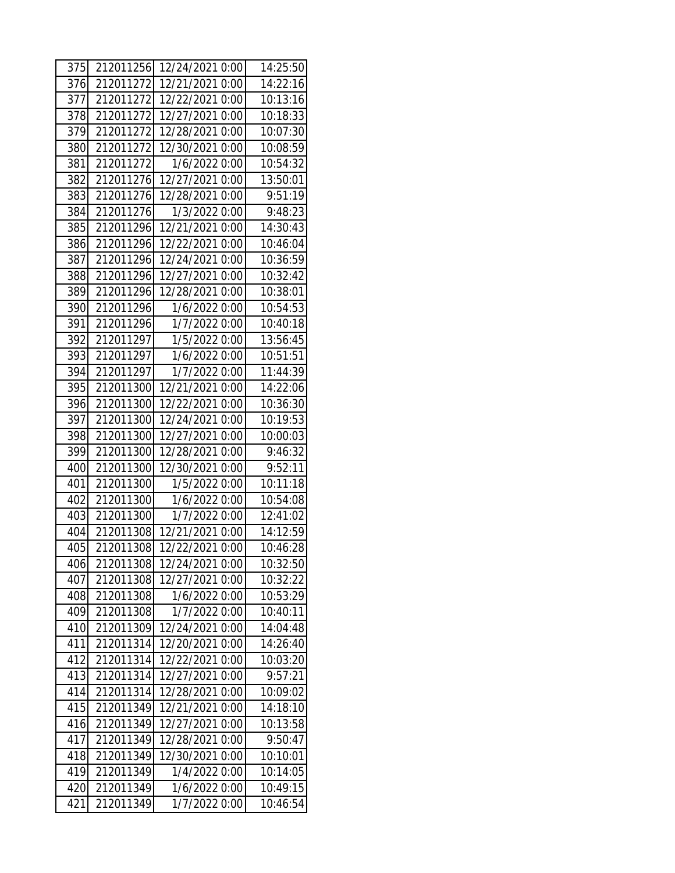| 375 | 212011256 | 12/24/2021 0:00 | 14:25:50 |
|-----|-----------|-----------------|----------|
| 376 | 212011272 | 12/21/2021 0:00 | 14:22:16 |
| 377 | 212011272 | 12/22/2021 0:00 | 10:13:16 |
| 378 | 212011272 | 12/27/2021 0:00 | 10:18:33 |
| 379 | 212011272 | 12/28/2021 0:00 | 10:07:30 |
| 380 | 212011272 | 12/30/2021 0:00 | 10:08:59 |
| 381 | 212011272 | 1/6/2022 0:00   | 10:54:32 |
| 382 | 212011276 | 12/27/2021 0:00 | 13:50:01 |
| 383 | 212011276 | 12/28/2021 0:00 | 9:51:19  |
| 384 | 212011276 | 1/3/2022 0:00   | 9:48:23  |
| 385 | 212011296 | 12/21/2021 0:00 | 14:30:43 |
| 386 | 212011296 | 12/22/2021 0:00 | 10:46:04 |
| 387 | 212011296 | 12/24/2021 0:00 | 10:36:59 |
| 388 | 212011296 | 12/27/2021 0:00 | 10:32:42 |
| 389 | 212011296 | 12/28/2021 0:00 | 10:38:01 |
| 390 | 212011296 | 1/6/2022 0:00   | 10:54:53 |
| 391 | 212011296 | 1/7/2022 0:00   | 10:40:18 |
| 392 | 212011297 | 1/5/2022 0:00   | 13:56:45 |
| 393 | 212011297 | 1/6/2022 0:00   | 10:51:51 |
| 394 | 212011297 | 1/7/2022 0:00   | 11:44:39 |
| 395 | 212011300 | 12/21/2021 0:00 | 14:22:06 |
| 396 | 212011300 | 12/22/2021 0:00 | 10:36:30 |
| 397 | 212011300 | 12/24/2021 0:00 | 10:19:53 |
| 398 | 212011300 | 12/27/2021 0:00 | 10:00:03 |
| 399 | 212011300 | 12/28/2021 0:00 | 9:46:32  |
| 400 | 212011300 | 12/30/2021 0:00 | 9:52:11  |
| 401 | 212011300 | 1/5/2022 0:00   | 10:11:18 |
| 402 | 212011300 | 1/6/2022 0:00   | 10:54:08 |
| 403 | 212011300 | 1/7/2022 0:00   | 12:41:02 |
| 404 | 212011308 | 12/21/2021 0:00 | 14:12:59 |
| 405 | 212011308 | 12/22/2021 0:00 | 10:46:28 |
| 406 | 212011308 | 12/24/2021 0:00 | 10:32:50 |
| 407 | 212011308 | 12/27/2021 0:00 | 10:32:22 |
| 408 | 212011308 | 1/6/2022 0:00   | 10:53:29 |
| 409 | 212011308 | 1/7/2022 0:00   | 10:40:11 |
| 410 | 212011309 | 12/24/2021 0:00 | 14:04:48 |
| 411 | 212011314 | 12/20/2021 0:00 | 14:26:40 |
| 412 | 212011314 | 12/22/2021 0:00 | 10:03:20 |
| 413 | 212011314 | 12/27/2021 0:00 | 9:57:21  |
| 414 | 212011314 | 12/28/2021 0:00 | 10:09:02 |
| 415 | 212011349 | 12/21/2021 0:00 | 14:18:10 |
| 416 | 212011349 | 12/27/2021 0:00 | 10:13:58 |
| 417 | 212011349 | 12/28/2021 0:00 | 9:50:47  |
| 418 | 212011349 | 12/30/2021 0:00 | 10:10:01 |
| 419 | 212011349 | 1/4/2022 0:00   | 10:14:05 |
| 420 | 212011349 | 1/6/2022 0:00   | 10:49:15 |
| 421 | 212011349 | 1/7/2022 0:00   | 10:46:54 |